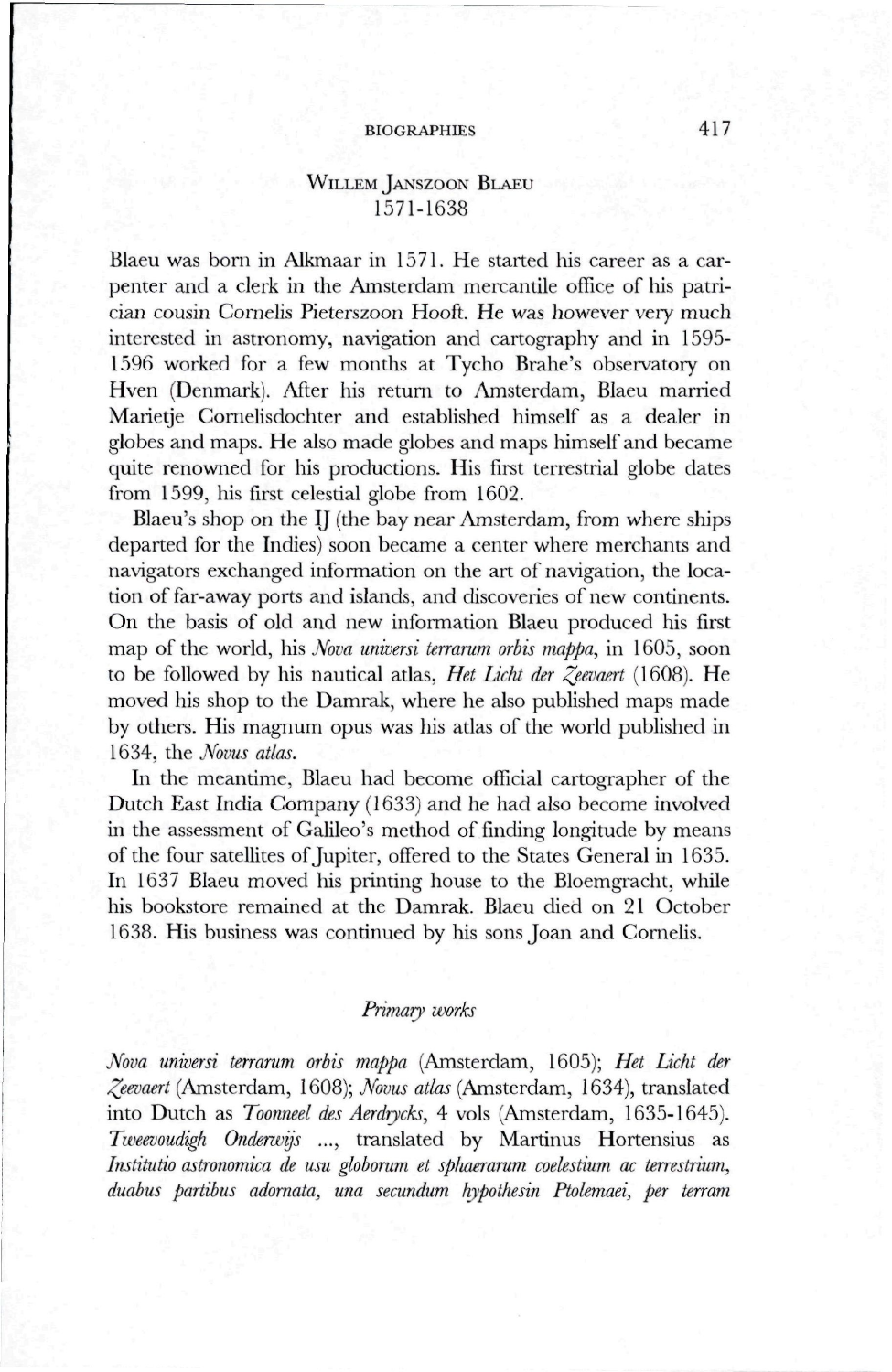## BIOGRAPHIES 417

# WILLEM JANSZOON BLAEU 1571-1638

Blaeu was born in Alkmaar in 1571. He started his career as a carpenter and a clerk in the Amsterdam mercantile office of his patrician cousin Comelis Pieterszoon Hooft. He was however very much interested in astronomy, navigation and cartography and in 1595- 1596 worked for a few months at Tycho Brahe's observatory on Hven (Denmark). After his return to Amsterdam, Blaeu married Marietje Comelisdochter and established himself as a dealer in globes and maps. He also made globes and maps himself and became quite renowned for his productions. His first terrestrial globe dates from 1599, his first celestial globe from 1602.

Blaeu's shop on the IJ (the bay near Amsterdam, from where ships departed for the Indies) soon became a center where merchants and navigators exchanged information on the art of navigation, the location of far-away ports and islands, and discoveries of new continents. On the basis of old and new information Blaeu produced his first map of the world, his *Nova universi terrarum orbis mappa*, in 1605, soon to be followed by his nautical atlas, *Het Liclit der ^eevaert* (1608). He moved his shop to the Damrak, where he also published maps made by others. His magnum opus was his atlas of the world published in 1634, the *Novus atlas.* 

In the meantime, Blaeu had become official cartographer of the Dutch East India Company (1633) and he had also become involved in the assessment of Galileo's method of finding longitude by means of the four satellites of Jupiter, offered to the States General in 1635. In 1637 Blaeu moved his printing house to the Bloemgracht, while his bookstore remained at the Damrak. Blaeu died on 21 October 1638. His business was continued by his sons Joan and Cornelis.

#### *Primary works*

*Nova universi terrarum orbis mappa* (Amsterdam, 1605); *Het Liclit der ^eevaert* (Amsterdam, 1608); *Novus atlas* (Amsterdam, 1634), translated into Dutch as *Toormeel des Aerdiycks,* 4 vols (Amsterdam, 1635-1645). *Tweevoudigh Onderwijs ...,* translated by Martinus Hortensius as *Institutio astronomica de usu globomm et spliaeramm coelestium ac terrestrium, duabus partibus adornata, una secundum hypotliesin Ptolemaei, per krram*